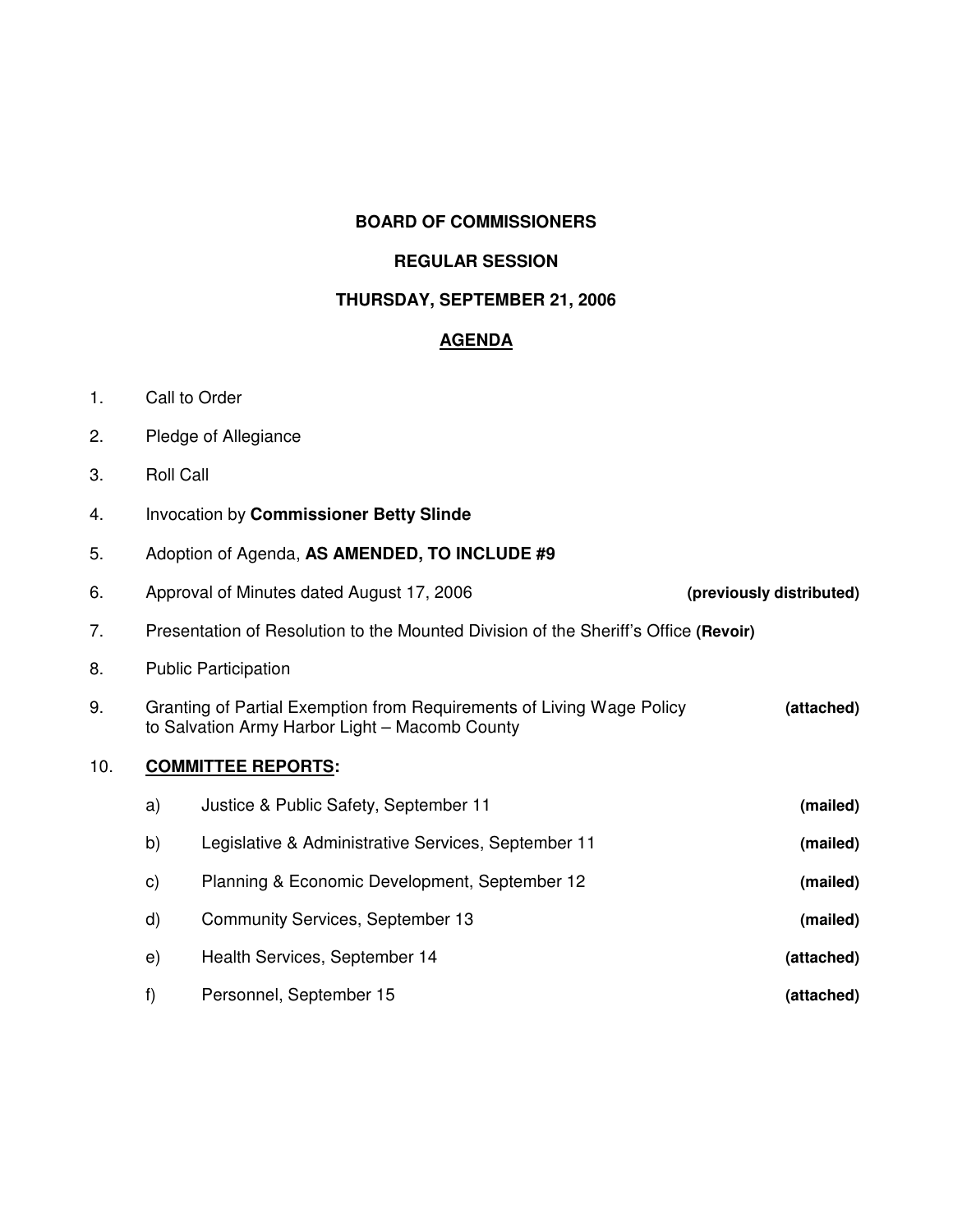### **BOARD OF COMMISSIONERS**

### **REGULAR SESSION**

#### **THURSDAY, SEPTEMBER 21, 2006**

# **AGENDA**

- 1. Call to Order
- 2. Pledge of Allegiance
- 3. Roll Call
- 4. Invocation by **Commissioner Betty Slinde**
- 5. Adoption of Agenda, **AS AMENDED, TO INCLUDE #9**
- 6. Approval of Minutes dated August 17, 2006 **(previously distributed)** 7. Presentation of Resolution to the Mounted Division of the Sheriff's Office **(Revoir)** 8. Public Participation 9. Granting of Partial Exemption from Requirements of Living Wage Policy **(attached)** to Salvation Army Harbor Light – Macomb County 10. **COMMITTEE REPORTS:** a) Justice & Public Safety, September 11 **(mailed)** b) Legislative & Administrative Services, September 11 **(mailed)** c) Planning & Economic Development, September 12 **(mailed)** d) Community Services, September 13 **(mailed)** e) Health Services, September 14 **(attached)** f) Personnel, September 15 **(attached)**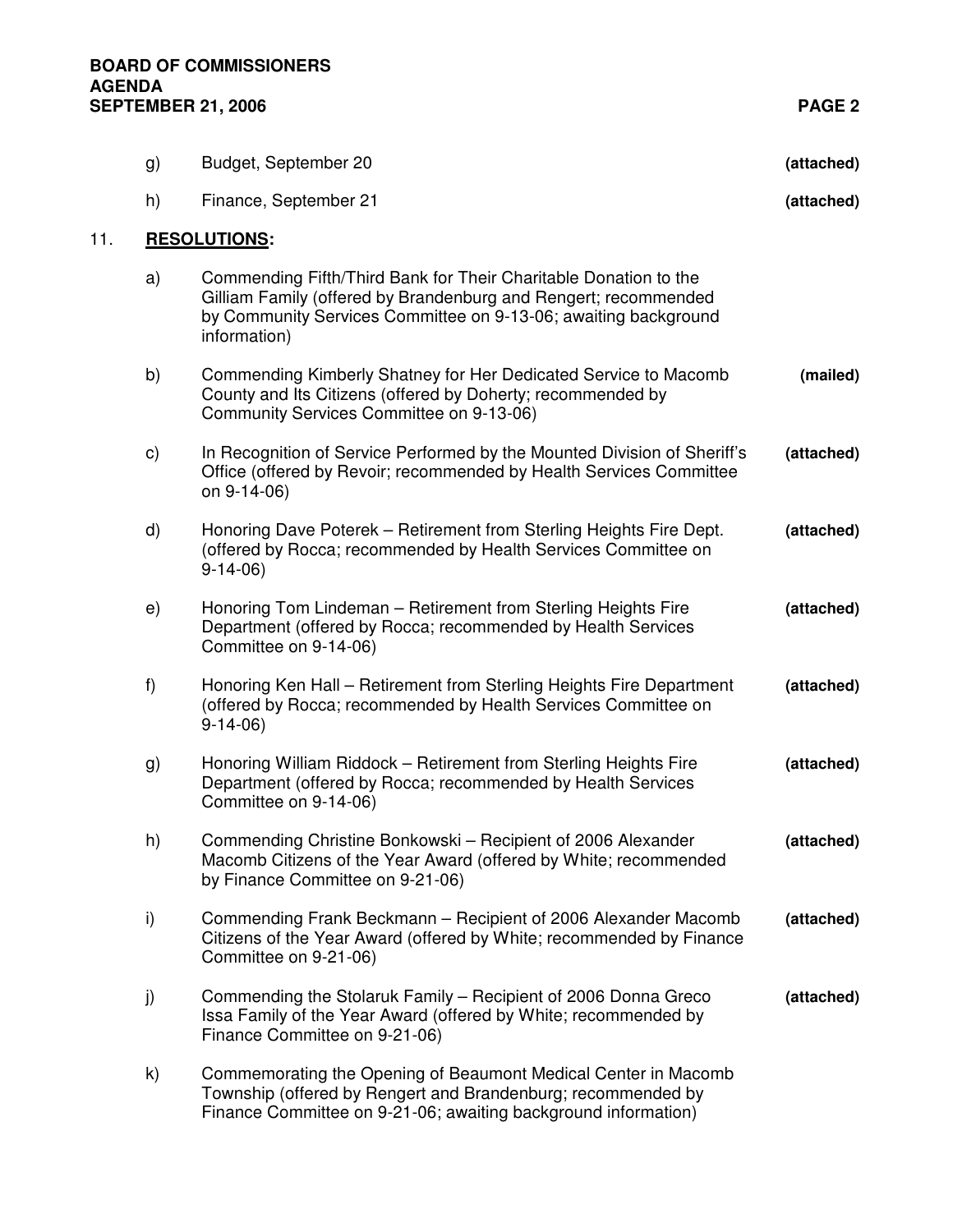| Budget, September 20 | (attached) |
|----------------------|------------|

h) Finance, September 21 **(attached)**

#### 11. **RESOLUTIONS:**

- a) Commending Fifth/Third Bank for Their Charitable Donation to the Gilliam Family (offered by Brandenburg and Rengert; recommended by Community Services Committee on 9-13-06; awaiting background information)
- b) Commending Kimberly Shatney for Her Dedicated Service to Macomb **(mailed)** County and Its Citizens (offered by Doherty; recommended by Community Services Committee on 9-13-06)
- c) In Recognition of Service Performed by the Mounted Division of Sheriff's **(attached)** Office (offered by Revoir; recommended by Health Services Committee on 9-14-06)
- d) Honoring Dave Poterek Retirement from Sterling Heights Fire Dept. **(attached)** (offered by Rocca; recommended by Health Services Committee on 9-14-06)
- e) Honoring Tom Lindeman Retirement from Sterling Heights Fire **(attached)** Department (offered by Rocca; recommended by Health Services Committee on 9-14-06)
- f) Honoring Ken Hall Retirement from Sterling Heights Fire Department **(attached)** (offered by Rocca; recommended by Health Services Committee on 9-14-06)
- g) Honoring William Riddock Retirement from Sterling Heights Fire **(attached)** Department (offered by Rocca; recommended by Health Services Committee on 9-14-06)
- h) Commending Christine Bonkowski Recipient of 2006 Alexander **(attached)** Macomb Citizens of the Year Award (offered by White; recommended by Finance Committee on 9-21-06)
- i) Commending Frank Beckmann Recipient of 2006 Alexander Macomb **(attached)** Citizens of the Year Award (offered by White; recommended by Finance Committee on 9-21-06)
- j) Commending the Stolaruk Family Recipient of 2006 Donna Greco **(attached)** Issa Family of the Year Award (offered by White; recommended by Finance Committee on 9-21-06)
- k) Commemorating the Opening of Beaumont Medical Center in Macomb Township (offered by Rengert and Brandenburg; recommended by Finance Committee on 9-21-06; awaiting background information)